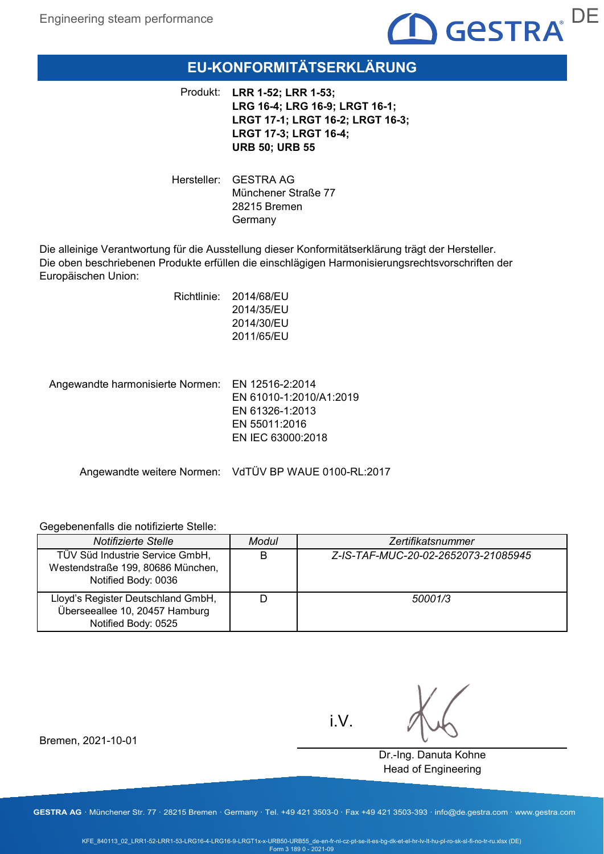

# **EU-KONFORMITÄTSERKLÄRUNG**

Produkt: **LRR 1-52; LRR 1-53; LRG 16-4; LRG 16-9; LRGT 16-1; LRGT 17-1; LRGT 16-2; LRGT 16-3; LRGT 17-3; LRGT 16-4; URB 50; URB 55**

Hersteller: GESTRA AG Münchener Straße 77 28215 Bremen Germany

Die alleinige Verantwortung für die Ausstellung dieser Konformitätserklärung trägt der Hersteller. Die oben beschriebenen Produkte erfüllen die einschlägigen Harmonisierungsrechtsvorschriften der Europäischen Union:

> Richtlinie: 2014/68/EU 2014/35/EU 2014/30/EU 2011/65/EU

Angewandte harmonisierte Normen: EN 12516-2:2014 EN 61010-1:2010/A1:2019 EN 61326-1:2013 EN 55011:2016 EN IEC 63000:2018

Angewandte weitere Normen: VdTÜV BP WAUE 0100-RL:2017

#### Gegebenenfalls die notifizierte Stelle:

| Notifizierte Stelle                                                                         | Modul | Zertifikatsnummer                   |
|---------------------------------------------------------------------------------------------|-------|-------------------------------------|
| TÜV Süd Industrie Service GmbH,<br>Westendstraße 199, 80686 München,<br>Notified Body: 0036 | B     | Z-IS-TAF-MUC-20-02-2652073-21085945 |
| Lloyd's Register Deutschland GmbH,<br>Überseeallee 10, 20457 Hamburg<br>Notified Body: 0525 |       | 50001/3                             |

i.V.

Dr.-Ing. Danuta Kohne Head of Engineering

Bremen, 2021-10-01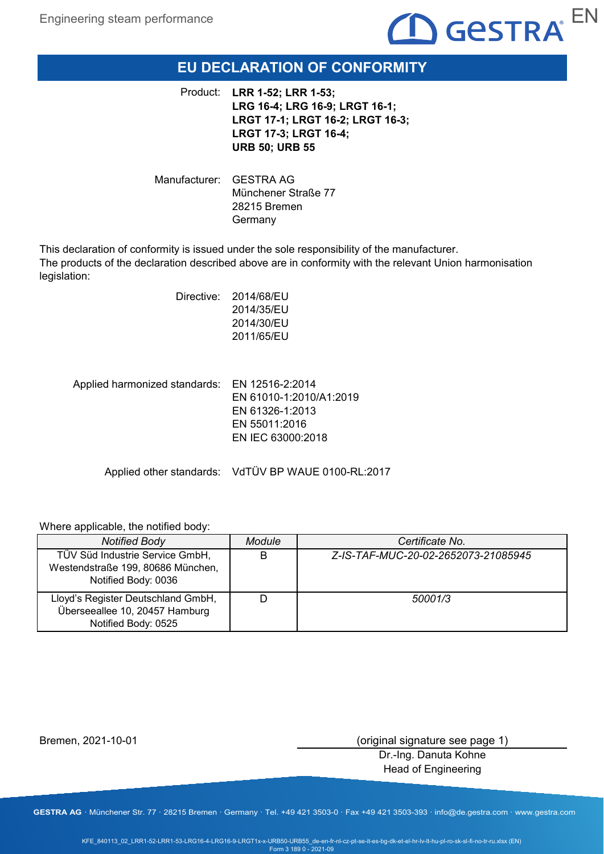

# **EU DECLARATION OF CONFORMITY**

**LRR 1-52; LRR 1-53;**  Product: **LRG 16-4; LRG 16-9; LRGT 16-1; LRGT 17-1; LRGT 16-2; LRGT 16-3; LRGT 17-3; LRGT 16-4; URB 50; URB 55**

Manufacturer: GESTRA AG Münchener Straße 77 28215 Bremen Germany

This declaration of conformity is issued under the sole responsibility of the manufacturer. The products of the declaration described above are in conformity with the relevant Union harmonisation legislation:

| Directive: | 2014/68/EU |
|------------|------------|
|            | 2014/35/EU |
|            | 2014/30/EU |
|            | 2011/65/EU |
|            |            |
|            |            |
|            |            |

Applied harmonized standards: EN 12516-2:2014 EN 61010-1:2010/A1:2019 EN 61326-1:2013 EN 55011:2016 EN IEC 63000:2018

Applied other standards: VdTÜV BP WAUE 0100-RL:2017

#### Where applicable, the notified body:

| <b>Notified Body</b>                                                                        | Module | Certificate No.                     |
|---------------------------------------------------------------------------------------------|--------|-------------------------------------|
| TÜV Süd Industrie Service GmbH,<br>Westendstraße 199, 80686 München,<br>Notified Body: 0036 | B      | Z-IS-TAF-MUC-20-02-2652073-21085945 |
| Lloyd's Register Deutschland GmbH,<br>Überseeallee 10, 20457 Hamburg<br>Notified Body: 0525 |        | 50001/3                             |

Bremen, 2021-10-01

(original signature see page 1)

Dr.-Ing. Danuta Kohne Head of Engineering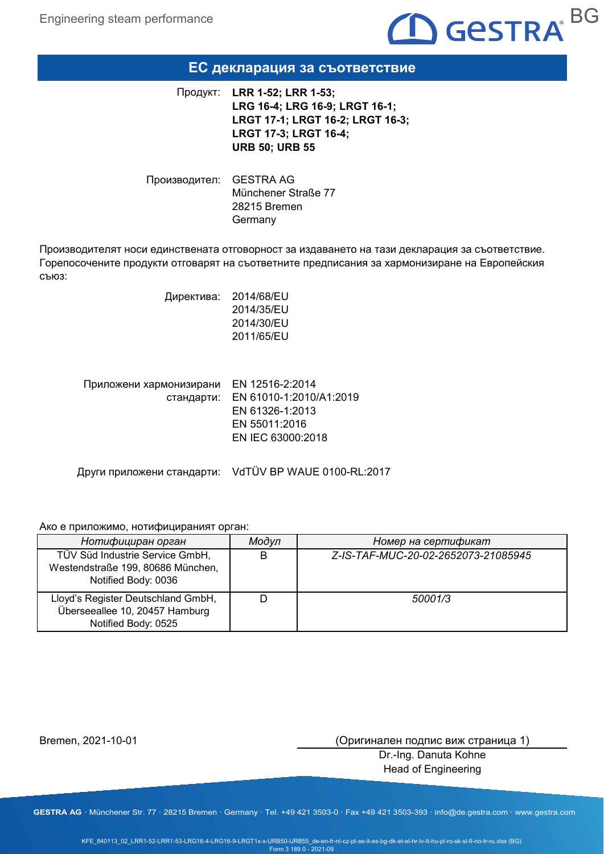

### **ЕС декларация за съответствие**

**LRR 1-52; LRR 1-53;**  Продукт: **LRG 16-4; LRG 16-9; LRGT 16-1; LRGT 17-1; LRGT 16-2; LRGT 16-3; LRGT 17-3; LRGT 16-4; URB 50; URB 55**

Производител: GESTRA AG Münchener Straße 77 28215 Bremen Germany

Производителят носи единствената отговорност за издаването на тази декларация за съответствие. Горепосочените продукти отговарят на съответните предписания за хармонизиране на Европейския съюз:

> Директива: 2014/68/EU 2014/35/EU 2014/30/EU 2011/65/EU

| Приложени хармонизирани EN 12516-2:2014 |                                    |
|-----------------------------------------|------------------------------------|
|                                         | стандарти: EN 61010-1:2010/A1:2019 |
|                                         | EN 61326-1:2013                    |
|                                         | EN 55011:2016                      |
|                                         | EN IEC 63000:2018                  |
|                                         |                                    |

Други приложени стандарти: VdTÜV BP WAUE 0100-RL:2017

#### Ако е приложимо, нотифицираният орган:

| Нотифициран орган                                                                           | Модул | Номер на сертификат                 |
|---------------------------------------------------------------------------------------------|-------|-------------------------------------|
| TÜV Süd Industrie Service GmbH,<br>Westendstraße 199, 80686 München,<br>Notified Body: 0036 | B     | Z-IS-TAF-MUC-20-02-2652073-21085945 |
| Lloyd's Register Deutschland GmbH,<br>Überseeallee 10, 20457 Hamburg<br>Notified Body: 0525 |       | 50001/3                             |

Bremen, 2021-10-01

(Оригинален подпис виж страница 1)

Dr.-Ing. Danuta Kohne Head of Engineering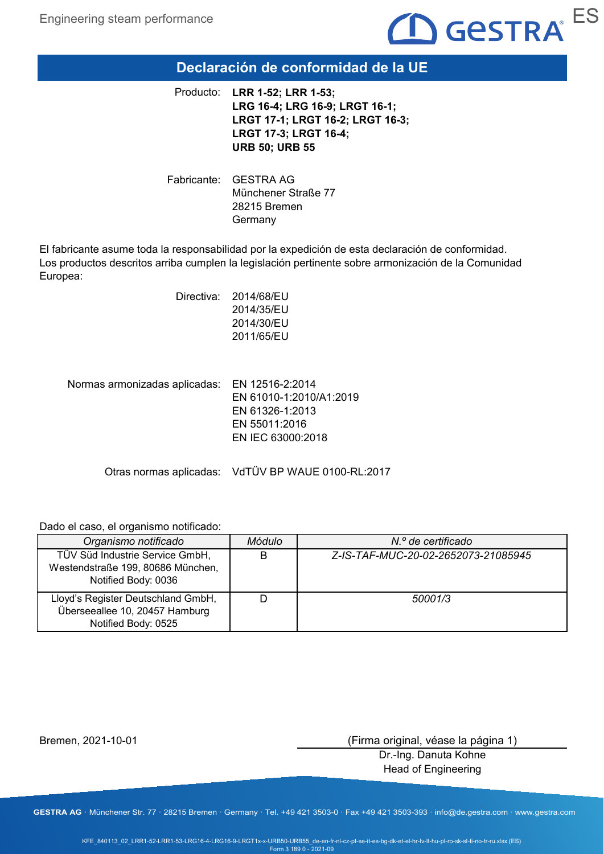

### **Declaración de conformidad de la UE**

**LRR 1-52; LRR 1-53;**  Producto: **LRG 16-4; LRG 16-9; LRGT 16-1; LRGT 17-1; LRGT 16-2; LRGT 16-3; LRGT 17-3; LRGT 16-4; URB 50; URB 55**

Fabricante: GESTRA AG Münchener Straße 77 28215 Bremen Germany

El fabricante asume toda la responsabilidad por la expedición de esta declaración de conformidad. Los productos descritos arriba cumplen la legislación pertinente sobre armonización de la Comunidad Europea:

| Directiva: | 2014/68/EU |
|------------|------------|
|            | 2014/35/EU |
|            | 2014/30/EU |
|            | 2011/65/EU |
|            |            |

Normas armonizadas aplicadas: EN 12516-2:2014 EN 61010-1:2010/A1:2019 EN 61326-1:2013 EN 55011:2016 EN IEC 63000:2018

Otras normas aplicadas: VdTÜV BP WAUE 0100-RL:2017

Dado el caso, el organismo notificado:

| Organismo notificado                                                                        | Módulo | N.º de certificado                  |
|---------------------------------------------------------------------------------------------|--------|-------------------------------------|
| TÜV Süd Industrie Service GmbH,<br>Westendstraße 199, 80686 München,<br>Notified Body: 0036 | В      | Z-IS-TAF-MUC-20-02-2652073-21085945 |
| Lloyd's Register Deutschland GmbH,<br>Überseeallee 10, 20457 Hamburg<br>Notified Body: 0525 |        | 50001/3                             |

Bremen, 2021-10-01

(Firma original, véase la página 1)

Dr.-Ing. Danuta Kohne Head of Engineering

**GESTRA AG** · Münchener Str. 77 · 28215 Bremen · Germany · Tel. +49 421 3503-0 · Fax +49 421 3503-393 · info@de.gestra.com · www.gestra.com

KFE\_840113\_02\_LRR1-52-LRR1-53-LRG16-4-LRG16-9-LRGT1x-x-URB50-URB55\_de-en-fr-nl-cz-pt-se-it-es-bg-dk-et-el-hr-lv-lt-hu-pl-ro-sk-sl-fi-no-tr-ru.xlsx (ES) Form 3 189 0 - 2021-09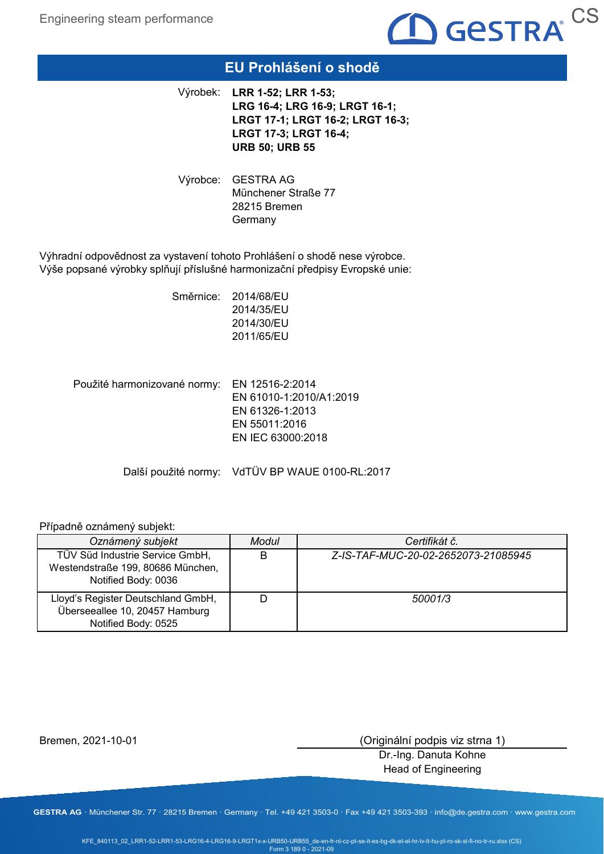

# **EU Prohlášení o shodě**

**LRR 1-52; LRR 1-53;**  Výrobek: **LRG 16-4; LRG 16-9; LRGT 16-1; LRGT 17-1; LRGT 16-2; LRGT 16-3; LRGT 17-3; LRGT 16-4; URB 50; URB 55**

Výrobce: GESTRA AG Münchener Straße 77 28215 Bremen **Germany** 

Výhradní odpovědnost za vystavení tohoto Prohlášení o shodě nese výrobce. Výše popsané výrobky splňují příslušné harmonizační předpisy Evropské unie:

> Směrnice: 2014/68/EU 2014/35/EU 2014/30/EU 2011/65/EU

Použité harmonizované normy: EN 12516-2:2014 EN 61010-1:2010/A1:2019 EN 61326-1:2013 EN 55011:2016 EN IEC 63000:2018

Další použité normy: VdTÜV BP WAUE 0100-RL:2017

### Případně oznámený subjekt:

| Oznámený subjekt                                                                            | Modul | Certifikát č.                       |
|---------------------------------------------------------------------------------------------|-------|-------------------------------------|
| TÜV Süd Industrie Service GmbH,<br>Westendstraße 199, 80686 München,<br>Notified Body: 0036 | B     | Z-IS-TAF-MUC-20-02-2652073-21085945 |
| Lloyd's Register Deutschland GmbH,<br>Überseeallee 10, 20457 Hamburg<br>Notified Body: 0525 |       | 50001/3                             |

Bremen, 2021-10-01

(Originální podpis viz strna 1)

Dr.-Ing. Danuta Kohne Head of Engineering

**GESTRA AG** · Münchener Str. 77 · 28215 Bremen · Germany · Tel. +49 421 3503-0 · Fax +49 421 3503-393 · info@de.gestra.com · www.gestra.com

KFE\_840113\_02\_LRR1-52-LRR1-53-LRG16-4-LRG16-9-LRGT1x-x-URB50-URB55\_de-en-fr-nl-cz-pt-se-it-es-bg-dk-et-el-hr-lv-lt-hu-pl-ro-sk-sl-fi-no-tr-ru.xlsx (CS) Form 3 189 0 - 2021-09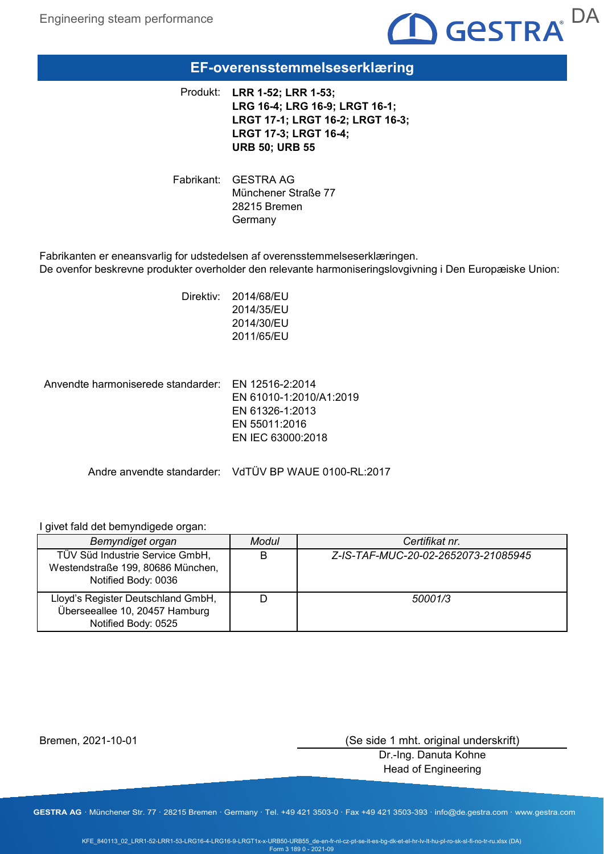

# **EF-overensstemmelseserklæring**

**LRR 1-52; LRR 1-53;**  Produkt: **LRG 16-4; LRG 16-9; LRGT 16-1; LRGT 17-1; LRGT 16-2; LRGT 16-3; LRGT 17-3; LRGT 16-4; URB 50; URB 55**

Fabrikant: GESTRA AG Münchener Straße 77 28215 Bremen Germany

Fabrikanten er eneansvarlig for udstedelsen af overensstemmelseserklæringen. De ovenfor beskrevne produkter overholder den relevante harmoniseringslovgivning i Den Europæiske Union:

> Direktiv: 2014/68/EU 2014/35/EU 2014/30/EU 2011/65/EU

Anvendte harmoniserede standarder: EN 12516-2:2014 EN 61010-1:2010/A1:2019 EN 61326-1:2013 EN 55011:2016 EN IEC 63000:2018

Andre anvendte standarder: VdTÜV BP WAUE 0100-RL:2017

#### I givet fald det bemyndigede organ:

| Bemyndiget organ                                                                            | Modul | Certifikat nr.                      |
|---------------------------------------------------------------------------------------------|-------|-------------------------------------|
| TÜV Süd Industrie Service GmbH,<br>Westendstraße 199, 80686 München,<br>Notified Body: 0036 | B     | Z-IS-TAF-MUC-20-02-2652073-21085945 |
| Lloyd's Register Deutschland GmbH,<br>Überseeallee 10, 20457 Hamburg<br>Notified Body: 0525 |       | 50001/3                             |

Bremen, 2021-10-01

(Se side 1 mht. original underskrift)

Dr.-Ing. Danuta Kohne Head of Engineering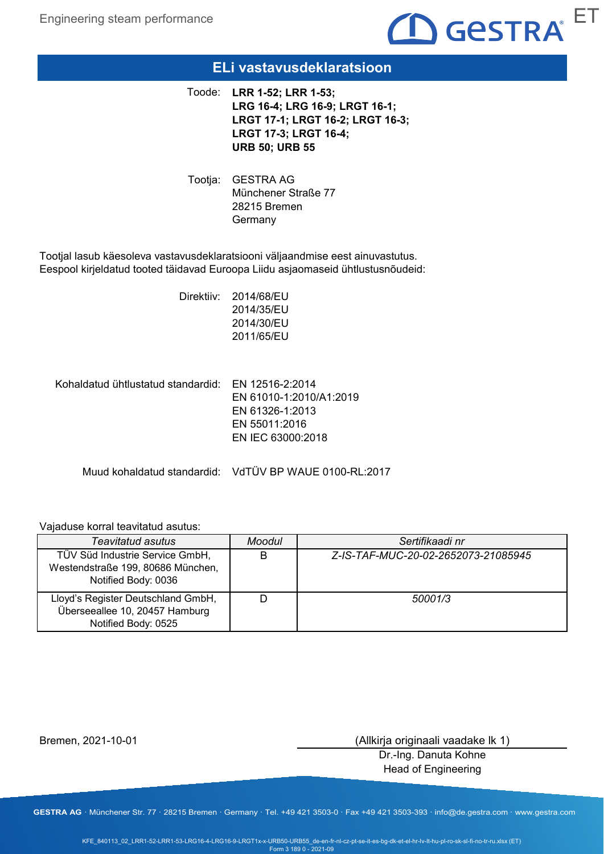

### **ELi vastavusdeklaratsioon**

**LRR 1-52; LRR 1-53;**  Toode: **LRG 16-4; LRG 16-9; LRGT 16-1; LRGT 17-1; LRGT 16-2; LRGT 16-3; LRGT 17-3; LRGT 16-4; URB 50; URB 55**

Tootja: GESTRA AG Münchener Straße 77 28215 Bremen **Germany** 

Tootjal lasub käesoleva vastavusdeklaratsiooni väljaandmise eest ainuvastutus. Eespool kirjeldatud tooted täidavad Euroopa Liidu asjaomaseid ühtlustusnõudeid:

> Direktiiv: 2014/68/EU 2014/35/EU 2014/30/EU 2011/65/EU

Kohaldatud ühtlustatud standardid: EN 12516-2:2014 EN 61010-1:2010/A1:2019 EN 61326-1:2013 EN 55011:2016 EN IEC 63000:2018

Muud kohaldatud standardid: VdTÜV BP WAUE 0100-RL:2017

### Vajaduse korral teavitatud asutus:

| <b>Teavitatud asutus</b>                                                                    | <b>Moodul</b> | Sertifikaadi nr                     |
|---------------------------------------------------------------------------------------------|---------------|-------------------------------------|
| TÜV Süd Industrie Service GmbH,<br>Westendstraße 199, 80686 München,<br>Notified Body: 0036 | B             | Z-IS-TAF-MUC-20-02-2652073-21085945 |
| Lloyd's Register Deutschland GmbH,<br>Überseeallee 10, 20457 Hamburg<br>Notified Body: 0525 |               | 50001/3                             |

Bremen, 2021-10-01

(Allkirja originaali vaadake lk 1)

Dr.-Ing. Danuta Kohne Head of Engineering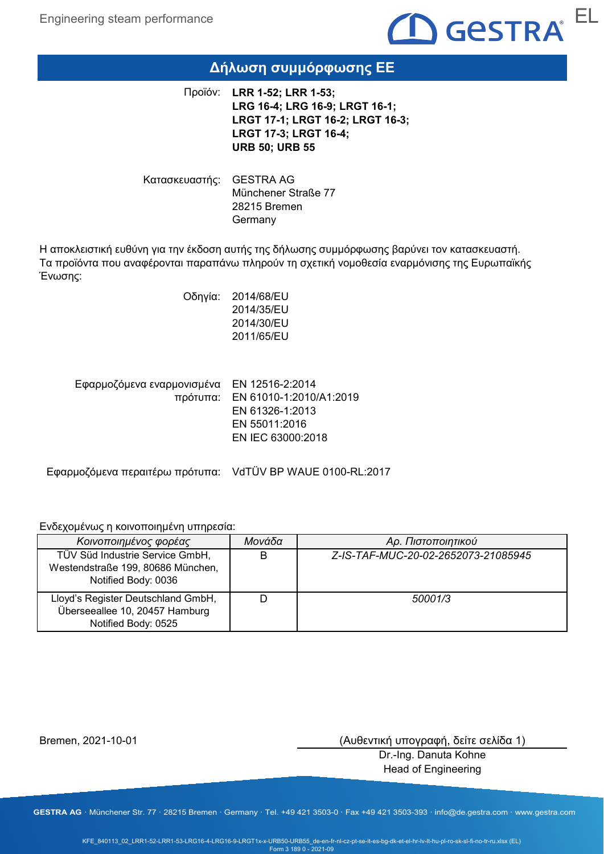

# **Δήλωση συμμόρφωσης ΕΕ**

**LRR 1-52; LRR 1-53;**  Προϊόν: **LRG 16-4; LRG 16-9; LRGT 16-1; LRGT 17-1; LRGT 16-2; LRGT 16-3; LRGT 17-3; LRGT 16-4; URB 50; URB 55**

Κατασκευαστής: GESTRA AG Münchener Straße 77 28215 Bremen Germany

Η αποκλειστική ευθύνη για την έκδοση αυτής της δήλωσης συμμόρφωσης βαρύνει τον κατασκευαστή. Τα προϊόντα που αναφέρονται παραπάνω πληρούν τη σχετική νομοθεσία εναρμόνισης της Ευρωπαϊκής Ένωσης:

> Οδηγία: 2014/68/EU 2014/35/EU 2014/30/EU 2011/65/EU

Εφαρμοζόμενα εναρμονισμένα EN 12516-2:2014 πρότυπα: EN 61010-1:2010/A1:2019 EN 61326-1:2013 EN 55011:2016 EN IEC 63000:2018

Εφαρμοζόμενα περαιτέρω πρότυπα: VdTÜV BP WAUE 0100-RL:2017

Ενδεχομένως η κοινοποιημένη υπηρεσία:

| Κοινοποιημένος φορέας                                                                       | Μονάδα | Αρ. Πιστοποιητικού                  |
|---------------------------------------------------------------------------------------------|--------|-------------------------------------|
| TÜV Süd Industrie Service GmbH,<br>Westendstraße 199, 80686 München,<br>Notified Body: 0036 | В      | Z-IS-TAF-MUC-20-02-2652073-21085945 |
| Lloyd's Register Deutschland GmbH,<br>Überseeallee 10, 20457 Hamburg<br>Notified Body: 0525 |        | 50001/3                             |

Bremen, 2021-10-01

(Αυθεντική υπογραφή, δείτε σελίδα 1)

Dr.-Ing. Danuta Kohne Head of Engineering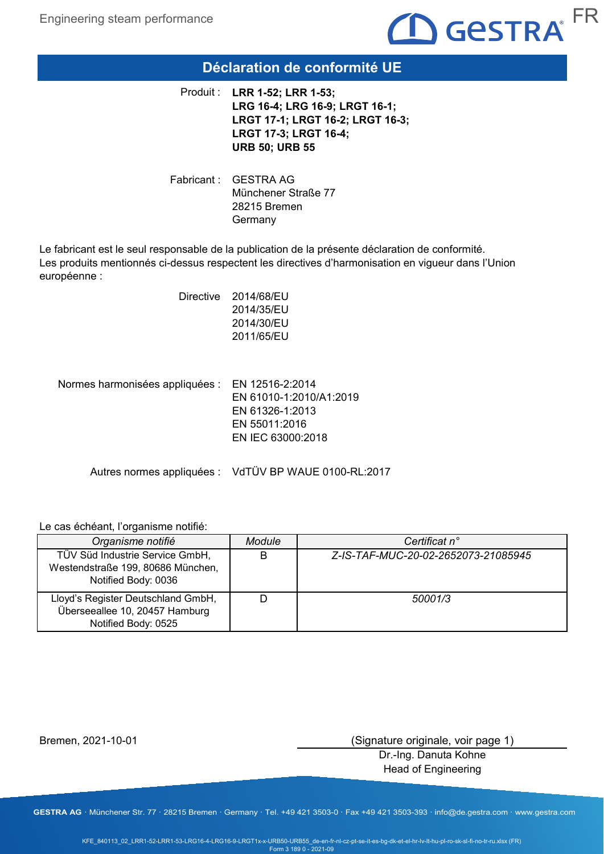

# **Déclaration de conformité UE**

**LRR 1-52; LRR 1-53;**  Produit : **LRG 16-4; LRG 16-9; LRGT 16-1; LRGT 17-1; LRGT 16-2; LRGT 16-3; LRGT 17-3; LRGT 16-4; URB 50; URB 55**

Fabricant : GESTRA AG Münchener Straße 77 28215 Bremen Germany

Le fabricant est le seul responsable de la publication de la présente déclaration de conformité. Les produits mentionnés ci-dessus respectent les directives d'harmonisation en vigueur dans l'Union européenne :

| Directive | 2014/68/EU |
|-----------|------------|
|           | 2014/35/EU |
|           | 2014/30/EU |
|           | 2011/65/EU |
|           |            |

Normes harmonisées appliquées : EN 12516-2:2014 EN 61010-1:2010/A1:2019 EN 61326-1:2013 EN 55011:2016 EN IEC 63000:2018

Autres normes appliquées : VdTÜV BP WAUE 0100-RL:2017

### Le cas échéant, l'organisme notifié:

| Organisme notifié                                                                           | <b>Module</b> | Certificat n°                       |
|---------------------------------------------------------------------------------------------|---------------|-------------------------------------|
| TÜV Süd Industrie Service GmbH,<br>Westendstraße 199, 80686 München,<br>Notified Body: 0036 | B             | Z-IS-TAF-MUC-20-02-2652073-21085945 |
| Lloyd's Register Deutschland GmbH,<br>Überseeallee 10, 20457 Hamburg<br>Notified Body: 0525 |               | 50001/3                             |

Bremen, 2021-10-01

(Signature originale, voir page 1)

Dr.-Ing. Danuta Kohne Head of Engineering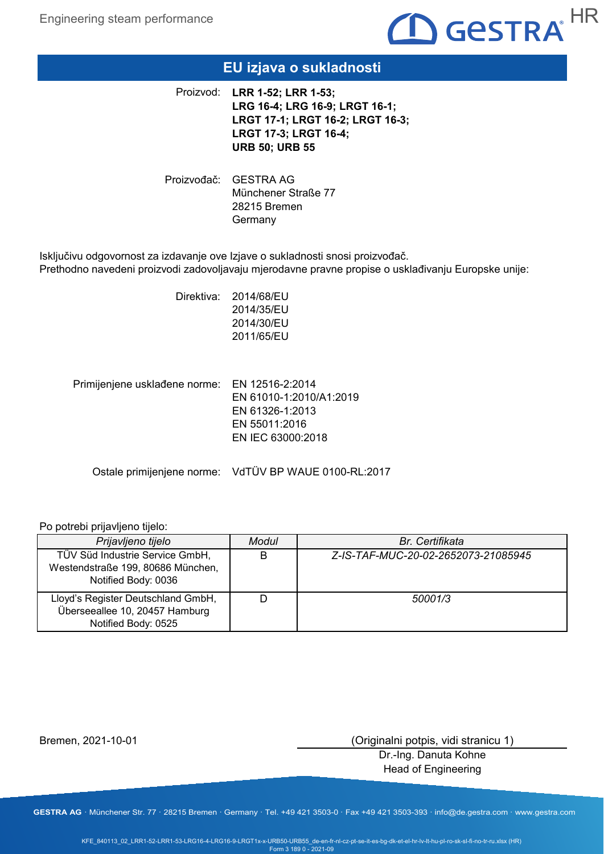

# **EU izjava o sukladnosti**

**LRR 1-52; LRR 1-53;**  Proizvod: **LRG 16-4; LRG 16-9; LRGT 16-1; LRGT 17-1; LRGT 16-2; LRGT 16-3; LRGT 17-3; LRGT 16-4; URB 50; URB 55**

Proizvođač: GESTRA AG Münchener Straße 77 28215 Bremen **Germany** 

Isključivu odgovornost za izdavanje ove Izjave o sukladnosti snosi proizvođač. Prethodno navedeni proizvodi zadovoljavaju mjerodavne pravne propise o usklađivanju Europske unije:

> Direktiva: 2014/68/EU 2014/35/EU 2014/30/EU 2011/65/EU

Primijenjene usklađene norme: EN 12516-2:2014 EN 61010-1:2010/A1:2019 EN 61326-1:2013 EN 55011:2016 EN IEC 63000:2018

Ostale primijenjene norme: VdTÜV BP WAUE 0100-RL:2017

### Po potrebi prijavljeno tijelo:

| Prijavljeno tijelo                                                                          | Modul | <b>Br.</b> Certifikata              |
|---------------------------------------------------------------------------------------------|-------|-------------------------------------|
| TÜV Süd Industrie Service GmbH,<br>Westendstraße 199, 80686 München,<br>Notified Body: 0036 |       | Z-IS-TAF-MUC-20-02-2652073-21085945 |
| Lloyd's Register Deutschland GmbH,<br>Überseeallee 10, 20457 Hamburg<br>Notified Body: 0525 |       | 50001/3                             |

Bremen, 2021-10-01

(Originalni potpis, vidi stranicu 1)

Dr.-Ing. Danuta Kohne Head of Engineering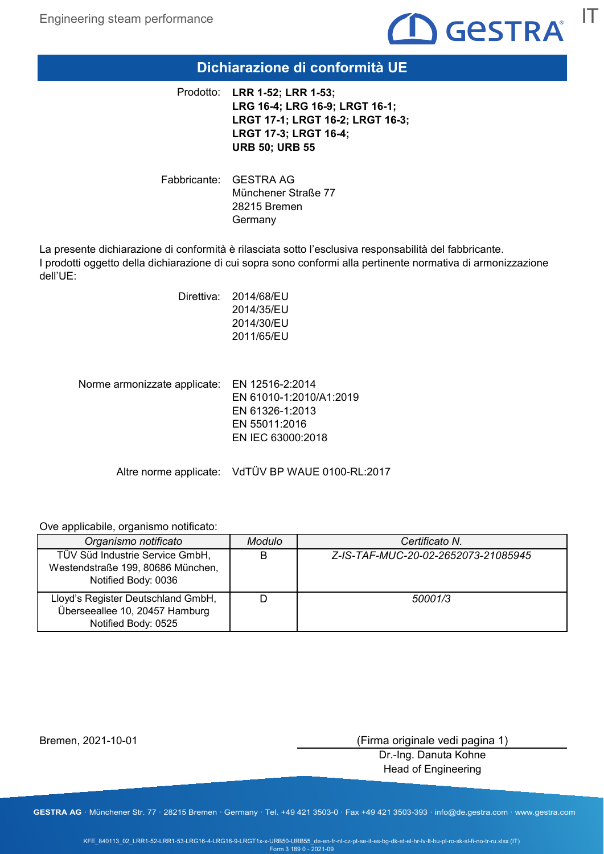

### **Dichiarazione di conformità UE**

**LRR 1-52; LRR 1-53;**  Prodotto: **LRG 16-4; LRG 16-9; LRGT 16-1; LRGT 17-1; LRGT 16-2; LRGT 16-3; LRGT 17-3; LRGT 16-4; URB 50; URB 55**

Fabbricante: GESTRA AG Münchener Straße 77 28215 Bremen Germany

La presente dichiarazione di conformità è rilasciata sotto l'esclusiva responsabilità del fabbricante. I prodotti oggetto della dichiarazione di cui sopra sono conformi alla pertinente normativa di armonizzazione dell'UE:

| Direttiva: | 2014/68/EU<br>2014/35/EU |
|------------|--------------------------|
|            | 2014/30/EU               |
|            | 2011/65/EU               |

| Norme armonizzate applicate: EN 12516-2:2014 |                         |
|----------------------------------------------|-------------------------|
|                                              | EN 61010-1:2010/A1:2019 |
|                                              | EN 61326-1:2013         |
|                                              | EN 55011:2016           |
|                                              | EN IEC 63000:2018       |
|                                              |                         |

Altre norme applicate: VdTÜV BP WAUE 0100-RL:2017

Ove applicabile, organismo notificato:

| Organismo notificato                                                                        | <b>Modulo</b> | Certificato N.                      |
|---------------------------------------------------------------------------------------------|---------------|-------------------------------------|
| TÜV Süd Industrie Service GmbH,<br>Westendstraße 199, 80686 München,<br>Notified Body: 0036 | B             | Z-IS-TAF-MUC-20-02-2652073-21085945 |
| Lloyd's Register Deutschland GmbH,<br>Überseeallee 10, 20457 Hamburg<br>Notified Body: 0525 |               | 50001/3                             |

Bremen, 2021-10-01

(Firma originale vedi pagina 1)

Dr.-Ing. Danuta Kohne Head of Engineering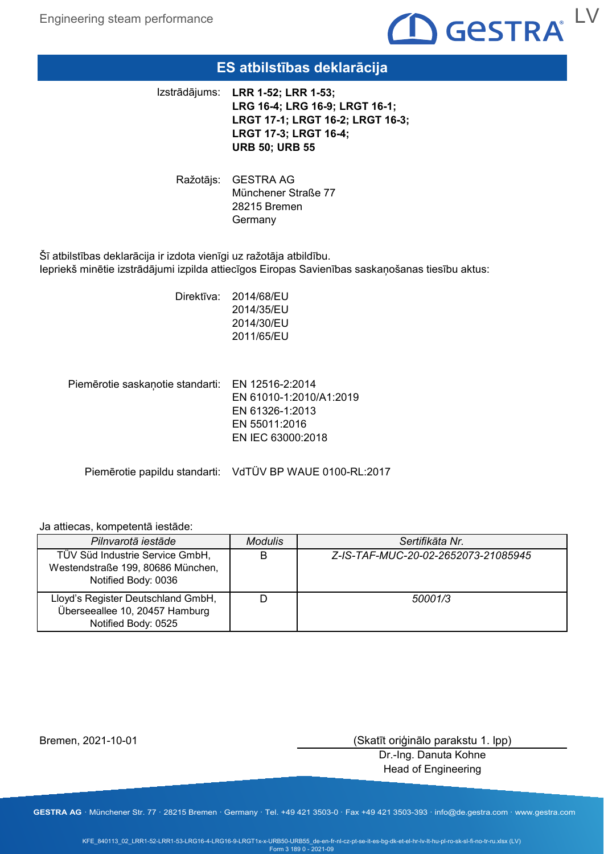Engineering steam performance



# **ES atbilstības deklarācija**

**LRR 1-52; LRR 1-53;**  Izstrādājums: **LRG 16-4; LRG 16-9; LRGT 16-1; LRGT 17-1; LRGT 16-2; LRGT 16-3; LRGT 17-3; LRGT 16-4; URB 50; URB 55**

Ražotājs: GESTRA AG Münchener Straße 77 28215 Bremen **Germany** 

Šī atbilstības deklarācija ir izdota vienīgi uz ražotāja atbildību. Iepriekš minētie izstrādājumi izpilda attiecīgos Eiropas Savienības saskaņošanas tiesību aktus:

> Direktīva: 2014/68/EU 2014/35/EU 2014/30/EU 2011/65/EU

Piemērotie saskaņotie standarti: EN 12516-2:2014 EN 61010-1:2010/A1:2019 EN 61326-1:2013 EN 55011:2016 EN IEC 63000:2018

Piemērotie papildu standarti: VdTÜV BP WAUE 0100-RL:2017

#### Ja attiecas, kompetentā iestāde:

| Pilnvarotā iestāde                                                                          | <b>Modulis</b> | Sertifikāta Nr.                     |
|---------------------------------------------------------------------------------------------|----------------|-------------------------------------|
| TÜV Süd Industrie Service GmbH,<br>Westendstraße 199, 80686 München,<br>Notified Body: 0036 | В              | Z-IS-TAF-MUC-20-02-2652073-21085945 |
| Lloyd's Register Deutschland GmbH,<br>Überseeallee 10, 20457 Hamburg<br>Notified Body: 0525 |                | 50001/3                             |

Bremen, 2021-10-01

(Skatīt oriģinālo parakstu 1. lpp)

Dr.-Ing. Danuta Kohne Head of Engineering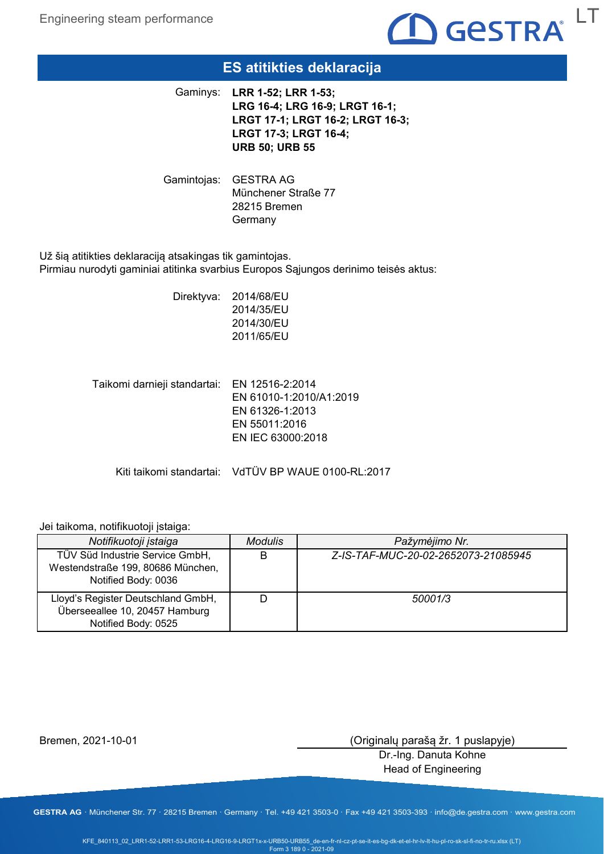

# **ES atitikties deklaracija**

**LRR 1-52; LRR 1-53;**  Gaminys: **LRG 16-4; LRG 16-9; LRGT 16-1; LRGT 17-1; LRGT 16-2; LRGT 16-3; LRGT 17-3; LRGT 16-4; URB 50; URB 55**

Gamintojas: GESTRA AG Münchener Straße 77 28215 Bremen **Germany** 

Už šią atitikties deklaraciją atsakingas tik gamintojas. Pirmiau nurodyti gaminiai atitinka svarbius Europos Sąjungos derinimo teisės aktus:

> Direktyva: 2014/68/EU 2014/35/EU 2014/30/EU 2011/65/EU

Taikomi darnieji standartai: EN 12516-2:2014 EN 61010-1:2010/A1:2019 EN 61326-1:2013 EN 55011:2016 EN IEC 63000:2018

Kiti taikomi standartai: VdTÜV BP WAUE 0100-RL:2017

#### Jei taikoma, notifikuotoji įstaiga:

| Notifikuotoji įstaiga                                                                       | <b>Modulis</b> | Pažymėjimo Nr.                      |
|---------------------------------------------------------------------------------------------|----------------|-------------------------------------|
| TÜV Süd Industrie Service GmbH,<br>Westendstraße 199, 80686 München,<br>Notified Body: 0036 | В              | Z-IS-TAF-MUC-20-02-2652073-21085945 |
| Lloyd's Register Deutschland GmbH,<br>Überseeallee 10, 20457 Hamburg<br>Notified Body: 0525 |                | 50001/3                             |

Bremen, 2021-10-01

(Originalų parašą žr. 1 puslapyje)

Dr.-Ing. Danuta Kohne Head of Engineering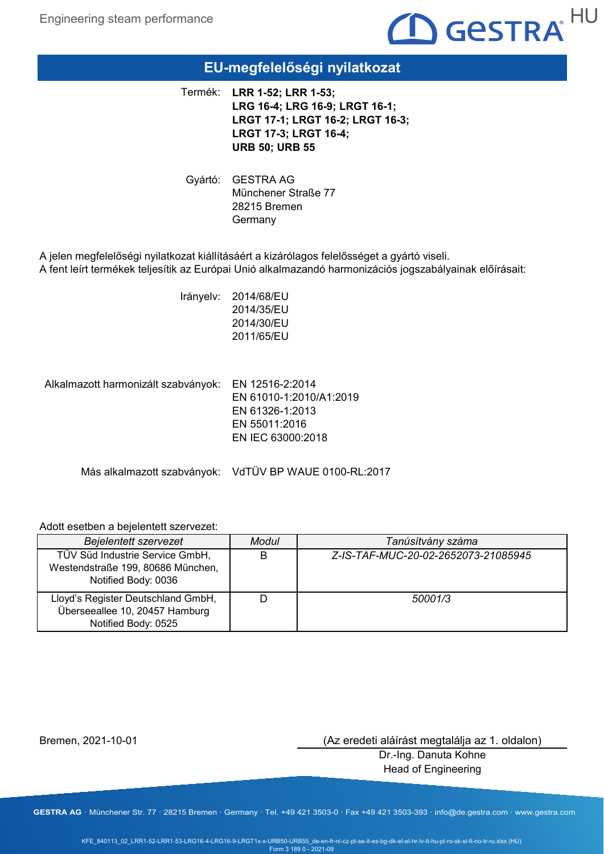

# **EU-megfelelőségi nyilatkozat**

**LRR 1-52; LRR 1-53;**  Termék: **LRG 16-4; LRG 16-9; LRGT 16-1; LRGT 17-1; LRGT 16-2; LRGT 16-3; LRGT 17-3; LRGT 16-4; URB 50; URB 55**

Gyártó: GESTRA AG Münchener Straße 77 28215 Bremen **Germany** 

A jelen megfelelőségi nyilatkozat kiállításáért a kizárólagos felelősséget a gyártó viseli. A fent leírt termékek teljesítik az Európai Unió alkalmazandó harmonizációs jogszabályainak előírásait:

> Irányelv: 2014/68/EU 2014/35/EU 2014/30/EU 2011/65/EU

Alkalmazott harmonizált szabványok: EN 12516-2:2014 EN 61010-1:2010/A1:2019 EN 61326-1:2013 EN 55011:2016 EN IEC 63000:2018

Más alkalmazott szabványok: VdTÜV BP WAUE 0100-RL:2017

### Adott esetben a bejelentett szervezet:

| <b>Bejelentett szervezet</b>                                                                | Modul | Tanúsítvány száma                   |
|---------------------------------------------------------------------------------------------|-------|-------------------------------------|
| TÜV Süd Industrie Service GmbH,<br>Westendstraße 199, 80686 München,<br>Notified Body: 0036 | B     | Z-IS-TAF-MUC-20-02-2652073-21085945 |
| Lloyd's Register Deutschland GmbH,<br>Überseeallee 10, 20457 Hamburg<br>Notified Body: 0525 |       | 50001/3                             |

Bremen, 2021-10-01

(Az eredeti aláírást megtalálja az 1. oldalon)

Dr.-Ing. Danuta Kohne Head of Engineering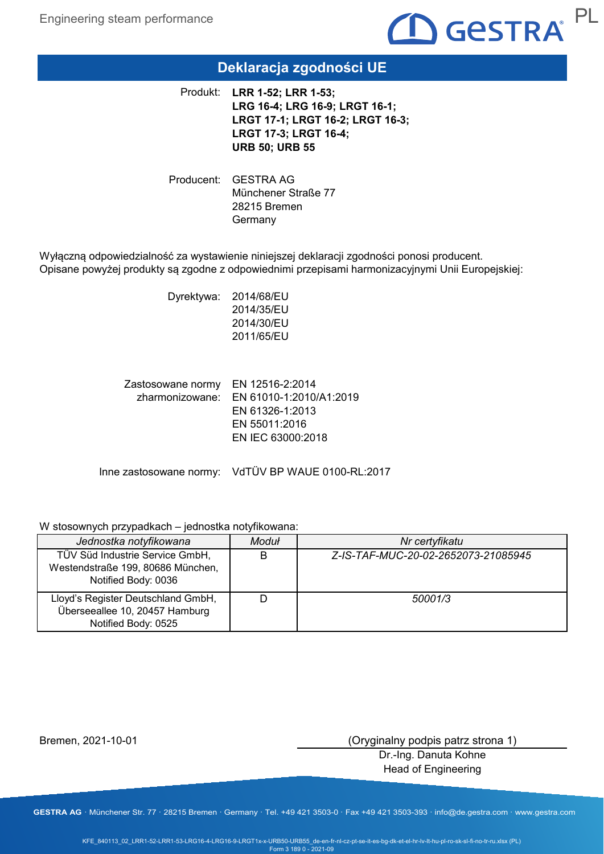

# **Deklaracja zgodności UE**

**LRR 1-52; LRR 1-53;**  Produkt: **LRG 16-4; LRG 16-9; LRGT 16-1; LRGT 17-1; LRGT 16-2; LRGT 16-3; LRGT 17-3; LRGT 16-4; URB 50; URB 55**

Producent: GESTRA AG Münchener Straße 77 28215 Bremen Germany

Wyłączną odpowiedzialność za wystawienie niniejszej deklaracji zgodności ponosi producent. Opisane powyżej produkty są zgodne z odpowiednimi przepisami harmonizacyjnymi Unii Europejskiej:

> Dyrektywa: 2014/68/EU 2014/35/EU 2014/30/EU 2011/65/EU

Zastosowane normy EN 12516-2:2014 zharmonizowane: EN 61010-1:2010/A1:2019 EN 61326-1:2013 EN 55011:2016 EN IEC 63000:2018

Inne zastosowane normy: VdTÜV BP WAUE 0100-RL:2017

### W stosownych przypadkach – jednostka notyfikowana:

| Jednostka notyfikowana                                                                      | Moduł | Nr certyfikatu                      |
|---------------------------------------------------------------------------------------------|-------|-------------------------------------|
| TÜV Süd Industrie Service GmbH,<br>Westendstraße 199, 80686 München,<br>Notified Body: 0036 | в     | Z-IS-TAF-MUC-20-02-2652073-21085945 |
| Lloyd's Register Deutschland GmbH,<br>Überseeallee 10, 20457 Hamburg<br>Notified Body: 0525 |       | 50001/3                             |

Bremen, 2021-10-01

(Oryginalny podpis patrz strona 1)

Dr.-Ing. Danuta Kohne Head of Engineering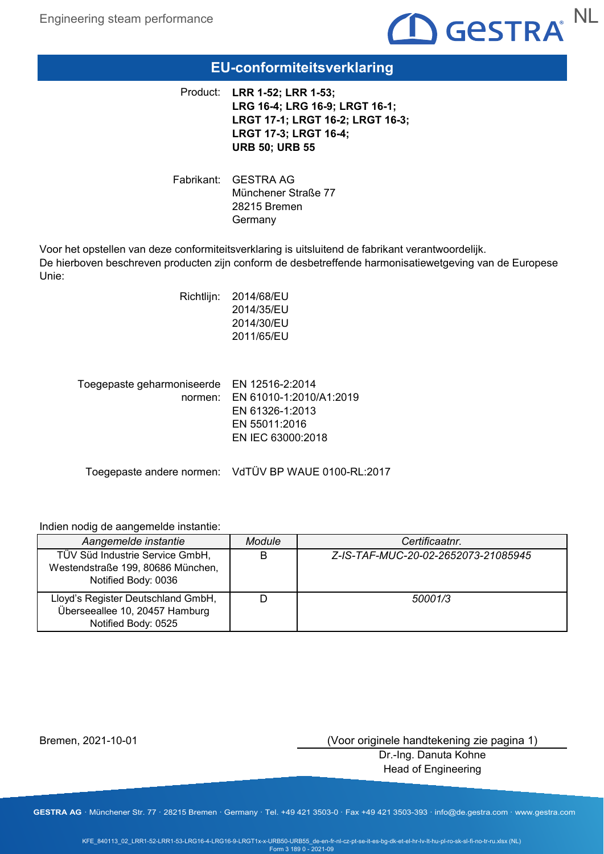

# **EU-conformiteitsverklaring**

**LRR 1-52; LRR 1-53;**  Product: **LRG 16-4; LRG 16-9; LRGT 16-1; LRGT 17-1; LRGT 16-2; LRGT 16-3; LRGT 17-3; LRGT 16-4; URB 50; URB 55**

Fabrikant: GESTRA AG Münchener Straße 77 28215 Bremen Germany

Voor het opstellen van deze conformiteitsverklaring is uitsluitend de fabrikant verantwoordelijk. De hierboven beschreven producten zijn conform de desbetreffende harmonisatiewetgeving van de Europese Unie:

|                                            | Richtlijn: 2014/68/EU<br>2014/35/EU<br>2014/30/EU<br>2011/65/EU |
|--------------------------------------------|-----------------------------------------------------------------|
| Toegepaste geharmoniseerde EN 12516-2:2014 | normen: EN 61010-1:2010/A1<br>ENLO4000 4.0040                   |

 $:2019$ EN 61326-1:2013 EN 55011:2016 EN IEC 63000:2018

Toegepaste andere normen: VdTÜV BP WAUE 0100-RL:2017

### Indien nodig de aangemelde instantie:

| Aangemelde instantie                                                                        | Module | Certificaatnr.                      |
|---------------------------------------------------------------------------------------------|--------|-------------------------------------|
| TÜV Süd Industrie Service GmbH,<br>Westendstraße 199, 80686 München,<br>Notified Body: 0036 | B      | Z-IS-TAF-MUC-20-02-2652073-21085945 |
| Lloyd's Register Deutschland GmbH,<br>Überseeallee 10, 20457 Hamburg<br>Notified Body: 0525 |        | 50001/3                             |

Bremen, 2021-10-01

(Voor originele handtekening zie pagina 1)

Dr.-Ing. Danuta Kohne Head of Engineering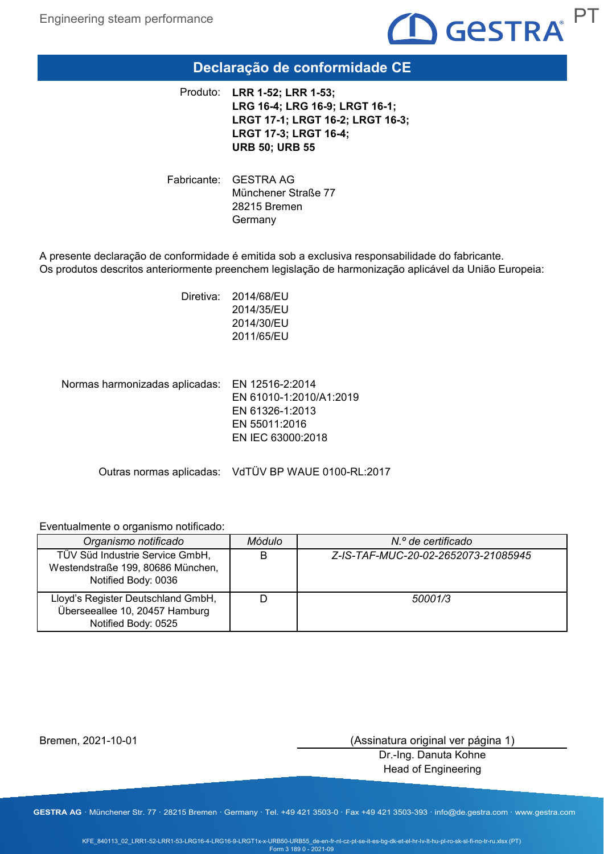

# **Declaração de conformidade CE**

**LRR 1-52; LRR 1-53;**  Produto: **LRG 16-4; LRG 16-9; LRGT 16-1; LRGT 17-1; LRGT 16-2; LRGT 16-3; LRGT 17-3; LRGT 16-4; URB 50; URB 55**

Fabricante: GESTRA AG Münchener Straße 77 28215 Bremen Germany

A presente declaração de conformidade é emitida sob a exclusiva responsabilidade do fabricante. Os produtos descritos anteriormente preenchem legislação de harmonização aplicável da União Europeia:

> Diretiva: 2014/68/EU 2014/35/EU 2014/30/EU 2011/65/EU

Normas harmonizadas aplicadas: EN 12516-2:2014 EN 61010-1:2010/A1:2019 EN 61326-1:2013 EN 55011:2016 EN IEC 63000:2018

Outras normas aplicadas: VdTÜV BP WAUE 0100-RL:2017

#### Eventualmente o organismo notificado:

| Organismo notificado                                                                        | Módulo | N.º de certificado                  |
|---------------------------------------------------------------------------------------------|--------|-------------------------------------|
| TÜV Süd Industrie Service GmbH,<br>Westendstraße 199, 80686 München,<br>Notified Body: 0036 | B      | Z-IS-TAF-MUC-20-02-2652073-21085945 |
| Lloyd's Register Deutschland GmbH,<br>Überseeallee 10, 20457 Hamburg<br>Notified Body: 0525 |        | 50001/3                             |

Bremen, 2021-10-01

(Assinatura original ver página 1)

Dr.-Ing. Danuta Kohne Head of Engineering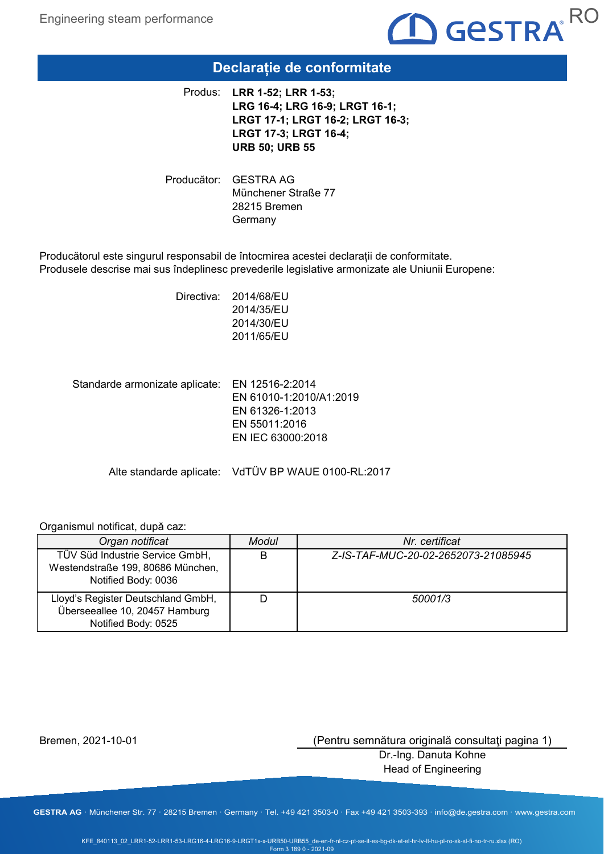

### **Declarație de conformitate**

**LRR 1-52; LRR 1-53;**  Produs: **LRG 16-4; LRG 16-9; LRGT 16-1; LRGT 17-1; LRGT 16-2; LRGT 16-3; LRGT 17-3; LRGT 16-4; URB 50; URB 55**

Producător: GESTRA AG Münchener Straße 77 28215 Bremen **Germany** 

Producătorul este singurul responsabil de întocmirea acestei declarații de conformitate. Produsele descrise mai sus îndeplinesc prevederile legislative armonizate ale Uniunii Europene:

> Directiva: 2014/68/EU 2014/35/EU 2014/30/EU 2011/65/EU

Standarde armonizate aplicate: EN 12516-2:2014 EN 61010-1:2010/A1:2019 EN 61326-1:2013 EN 55011:2016 EN IEC 63000:2018

Alte standarde aplicate: VdTÜV BP WAUE 0100-RL:2017

#### Organismul notificat, după caz:

| Organ notificat                                                                             | Modul | Nr. certificat                      |
|---------------------------------------------------------------------------------------------|-------|-------------------------------------|
| TÜV Süd Industrie Service GmbH,<br>Westendstraße 199, 80686 München,<br>Notified Body: 0036 | B     | Z-IS-TAF-MUC-20-02-2652073-21085945 |
| Lloyd's Register Deutschland GmbH,<br>Überseeallee 10, 20457 Hamburg<br>Notified Body: 0525 |       | 50001/3                             |

Bremen, 2021-10-01

(Pentru semnătura originală consultaţi pagina 1)

Dr.-Ing. Danuta Kohne Head of Engineering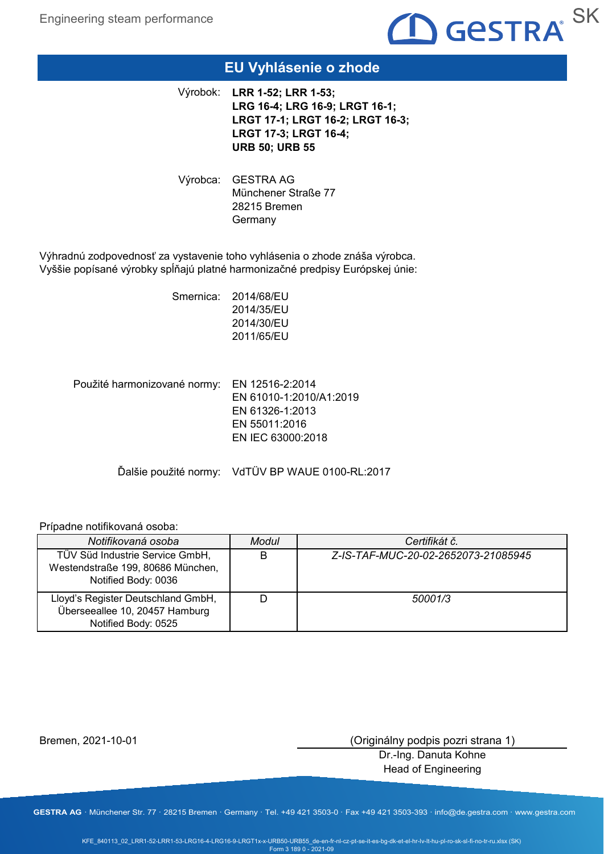

# **EU Vyhlásenie o zhode**

**LRR 1-52; LRR 1-53;**  Výrobok: **LRG 16-4; LRG 16-9; LRGT 16-1; LRGT 17-1; LRGT 16-2; LRGT 16-3; LRGT 17-3; LRGT 16-4; URB 50; URB 55**

Výrobca: GESTRA AG Münchener Straße 77 28215 Bremen **Germany** 

Výhradnú zodpovednosť za vystavenie toho vyhlásenia o zhode znáša výrobca. Vyššie popísané výrobky spĺňajú platné harmonizačné predpisy Európskej únie:

> Smernica: 2014/68/EU 2014/35/EU 2014/30/EU 2011/65/EU

Použité harmonizované normy: EN 12516-2:2014 EN 61010-1:2010/A1:2019 EN 61326-1:2013 EN 55011:2016 EN IEC 63000:2018

Ďalšie použité normy: VdTÜV BP WAUE 0100-RL:2017

#### Prípadne notifikovaná osoba:

| Notifikovaná osoba                                                                          | Modul | Certifikát č.                       |
|---------------------------------------------------------------------------------------------|-------|-------------------------------------|
| TÜV Süd Industrie Service GmbH,<br>Westendstraße 199, 80686 München,<br>Notified Body: 0036 | B     | Z-IS-TAF-MUC-20-02-2652073-21085945 |
| Lloyd's Register Deutschland GmbH,<br>Überseeallee 10, 20457 Hamburg<br>Notified Body: 0525 |       | 50001/3                             |

Bremen, 2021-10-01

(Originálny podpis pozri strana 1)

Dr.-Ing. Danuta Kohne Head of Engineering

**GESTRA AG** · Münchener Str. 77 · 28215 Bremen · Germany · Tel. +49 421 3503-0 · Fax +49 421 3503-393 · info@de.gestra.com · www.gestra.com

KFE\_840113\_02\_LRR1-52-LRR1-53-LRG16-4-LRG16-9-LRGT1x-x-URB50-URB55\_de-en-fr-nl-cz-pt-se-it-es-bg-dk-et-el-hr-lv-lt-hu-pl-ro-sk-sl-fi-no-tr-ru.xlsx (SK) Form 3 189 0 - 2021-09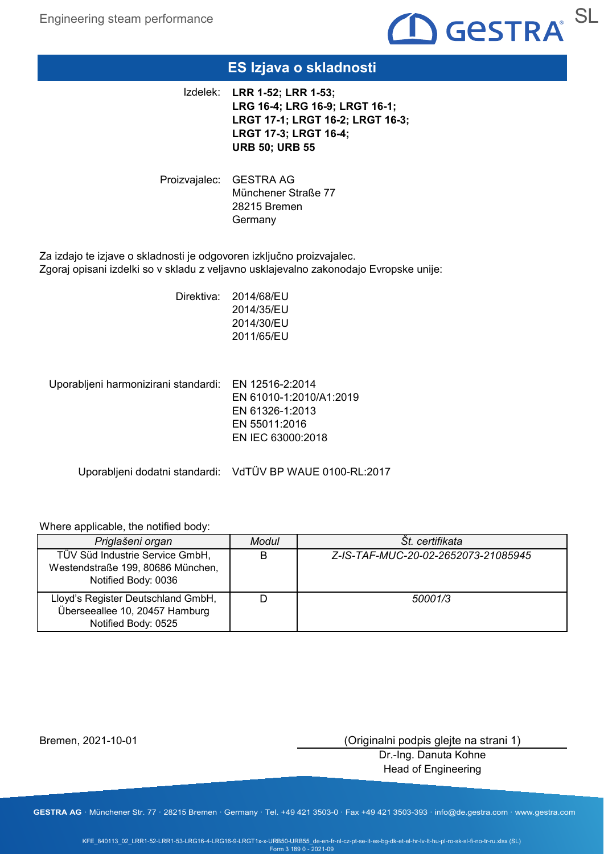

# **ES Izjava o skladnosti**

**LRR 1-52; LRR 1-53;**  Izdelek: **LRG 16-4; LRG 16-9; LRGT 16-1; LRGT 17-1; LRGT 16-2; LRGT 16-3; LRGT 17-3; LRGT 16-4; URB 50; URB 55**

Proizvajalec: GESTRA AG Münchener Straße 77 28215 Bremen **Germany** 

Za izdajo te izjave o skladnosti je odgovoren izključno proizvajalec. Zgoraj opisani izdelki so v skladu z veljavno usklajevalno zakonodajo Evropske unije:

> Direktiva: 2014/68/EU 2014/35/EU 2014/30/EU 2011/65/EU

Uporabljeni harmonizirani standardi: EN 12516-2:2014

EN 61010-1:2010/A1:2019 EN 61326-1:2013 EN 55011:2016 EN IEC 63000:2018

Uporabljeni dodatni standardi: VdTÜV BP WAUE 0100-RL:2017

### Where applicable, the notified body:

| Priglašeni organ                                                                            | Modul | St. certifikata                     |
|---------------------------------------------------------------------------------------------|-------|-------------------------------------|
| TÜV Süd Industrie Service GmbH,<br>Westendstraße 199, 80686 München,<br>Notified Body: 0036 | B     | Z-IS-TAF-MUC-20-02-2652073-21085945 |
| Lloyd's Register Deutschland GmbH,<br>Überseeallee 10, 20457 Hamburg<br>Notified Body: 0525 |       | 50001/3                             |

Bremen, 2021-10-01

(Originalni podpis glejte na strani 1)

Dr.-Ing. Danuta Kohne Head of Engineering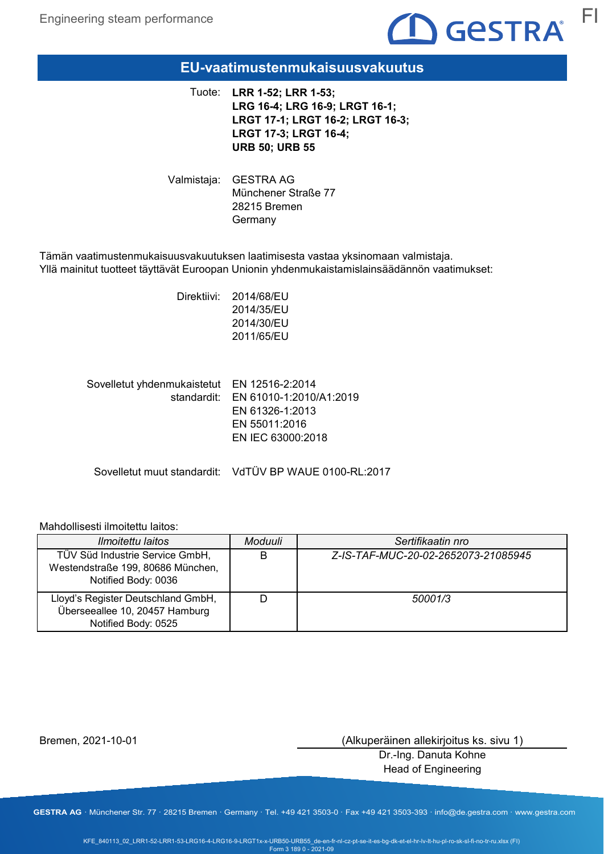

### **EU-vaatimustenmukaisuusvakuutus**

**LRR 1-52; LRR 1-53;**  Tuote: **LRG 16-4; LRG 16-9; LRGT 16-1; LRGT 17-1; LRGT 16-2; LRGT 16-3; LRGT 17-3; LRGT 16-4; URB 50; URB 55**

Valmistaja: GESTRA AG Münchener Straße 77 28215 Bremen Germany

Tämän vaatimustenmukaisuusvakuutuksen laatimisesta vastaa yksinomaan valmistaja. Yllä mainitut tuotteet täyttävät Euroopan Unionin yhdenmukaistamislainsäädännön vaatimukset:

> Direktiivi: 2014/68/EU 2014/35/EU 2014/30/EU 2011/65/EU

Sovelletut yhdenmukaistetut EN 12516-2:2014 standardit: EN 61010-1:2010/A1:2019 EN 61326-1:2013 EN 55011:2016 EN IEC 63000:2018

Sovelletut muut standardit: VdTÜV BP WAUE 0100-RL:2017

### Mahdollisesti ilmoitettu laitos:

| <i>Ilmoitettu laitos</i>                                                                    | Moduuli | Sertifikaatin nro                   |
|---------------------------------------------------------------------------------------------|---------|-------------------------------------|
| TÜV Süd Industrie Service GmbH,<br>Westendstraße 199, 80686 München,<br>Notified Body: 0036 | B       | Z-IS-TAF-MUC-20-02-2652073-21085945 |
| Lloyd's Register Deutschland GmbH,<br>Überseeallee 10, 20457 Hamburg<br>Notified Body: 0525 |         | 50001/3                             |

Bremen, 2021-10-01

(Alkuperäinen allekirjoitus ks. sivu 1)

Dr.-Ing. Danuta Kohne Head of Engineering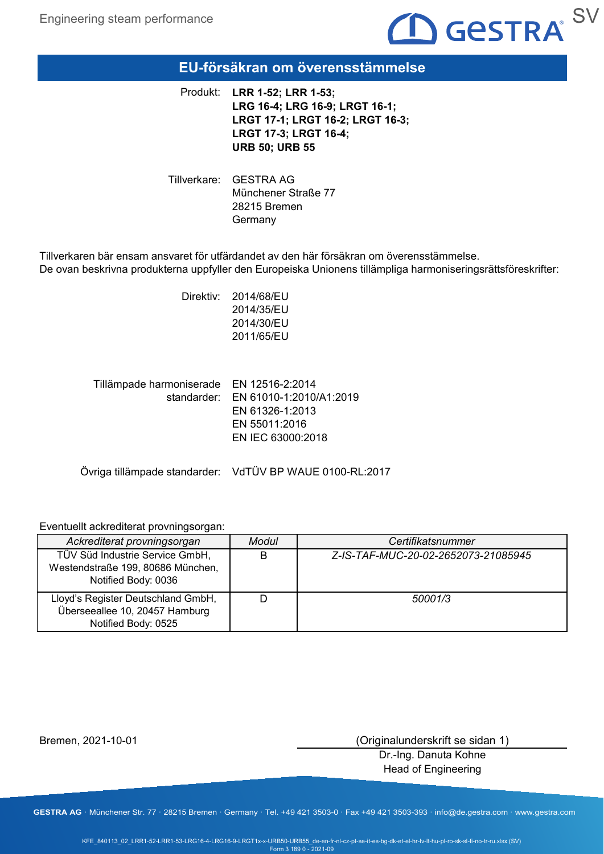

### **EU-försäkran om överensstämmelse**

**LRR 1-52; LRR 1-53;**  Produkt: **LRG 16-4; LRG 16-9; LRGT 16-1; LRGT 17-1; LRGT 16-2; LRGT 16-3; LRGT 17-3; LRGT 16-4; URB 50; URB 55**

Tillverkare: GESTRA AG Münchener Straße 77 28215 Bremen Germany

Tillverkaren bär ensam ansvaret för utfärdandet av den här försäkran om överensstämmelse. De ovan beskrivna produkterna uppfyller den Europeiska Unionens tillämpliga harmoniseringsrättsföreskrifter:

> Direktiv: 2014/68/EU 2014/35/EU 2014/30/EU 2011/65/EU

Tillämpade harmoniserade EN 12516-2:2014 standarder: EN 61010-1:2010/A1:2019 EN 61326-1:2013 EN 55011:2016 EN IEC 63000:2018

Övriga tillämpade standarder: VdTÜV BP WAUE 0100-RL:2017

#### Eventuellt ackrediterat provningsorgan:

| Ackrediterat provningsorgan                                                                 | Modul | Certifikatsnummer                   |
|---------------------------------------------------------------------------------------------|-------|-------------------------------------|
| TÜV Süd Industrie Service GmbH,<br>Westendstraße 199, 80686 München,<br>Notified Body: 0036 | B     | Z-IS-TAF-MUC-20-02-2652073-21085945 |
| Lloyd's Register Deutschland GmbH,<br>Überseeallee 10, 20457 Hamburg<br>Notified Body: 0525 |       | 50001/3                             |

Bremen, 2021-10-01

(Originalunderskrift se sidan 1)

Dr.-Ing. Danuta Kohne Head of Engineering

**GESTRA AG** · Münchener Str. 77 · 28215 Bremen · Germany · Tel. +49 421 3503-0 · Fax +49 421 3503-393 · info@de.gestra.com · www.gestra.com

KFE\_840113\_02\_LRR1-52-LRR1-53-LRG16-4-LRG16-9-LRGT1x-x-URB50-URB55\_de-en-fr-nl-cz-pt-se-it-es-bg-dk-et-el-hr-lv-lt-hu-pl-ro-sk-sl-fi-no-tr-ru.xlsx (SV) Form 3 189 0 - 2021-09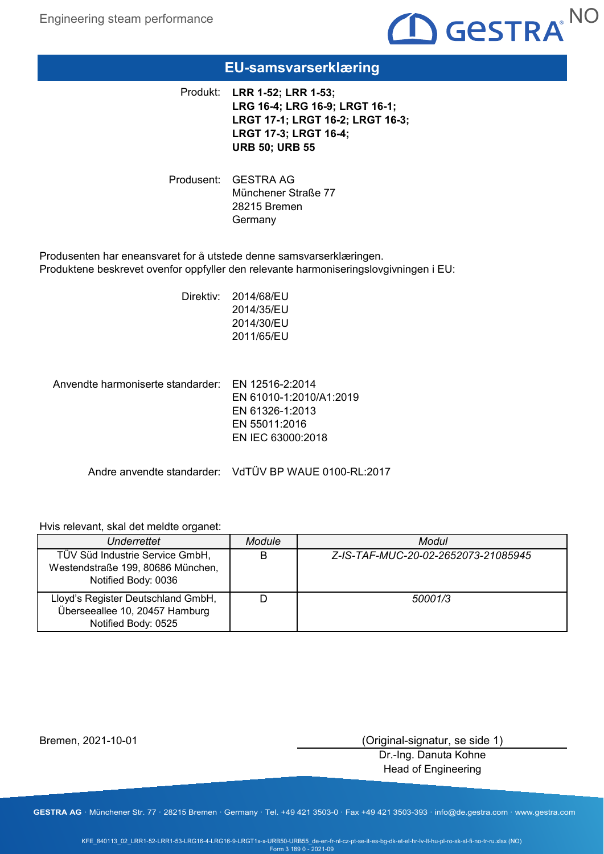

### **EU-samsvarserklæring**

**LRR 1-52; LRR 1-53;**  Produkt: **LRG 16-4; LRG 16-9; LRGT 16-1; LRGT 17-1; LRGT 16-2; LRGT 16-3; LRGT 17-3; LRGT 16-4; URB 50; URB 55**

Produsent: GESTRA AG Münchener Straße 77 28215 Bremen **Germany** 

Produsenten har eneansvaret for å utstede denne samsvarserklæringen. Produktene beskrevet ovenfor oppfyller den relevante harmoniseringslovgivningen i EU:

> Direktiv: 2014/68/EU 2014/35/EU 2014/30/EU 2011/65/EU

Anvendte harmoniserte standarder: EN 12516-2:2014 EN 61010-1:2010/A1:2019 EN 61326-1:2013 EN 55011:2016 EN IEC 63000:2018

Andre anvendte standarder: VdTÜV BP WAUE 0100-RL:2017

#### Hvis relevant, skal det meldte organet:

| Underrettet                                                                                 | Module | Modul                               |
|---------------------------------------------------------------------------------------------|--------|-------------------------------------|
| TÜV Süd Industrie Service GmbH,<br>Westendstraße 199, 80686 München,<br>Notified Body: 0036 | B      | Z-IS-TAF-MUC-20-02-2652073-21085945 |
| Lloyd's Register Deutschland GmbH,<br>Überseeallee 10, 20457 Hamburg<br>Notified Body: 0525 |        | 50001/3                             |

Bremen, 2021-10-01

(Original-signatur, se side 1)

Dr.-Ing. Danuta Kohne Head of Engineering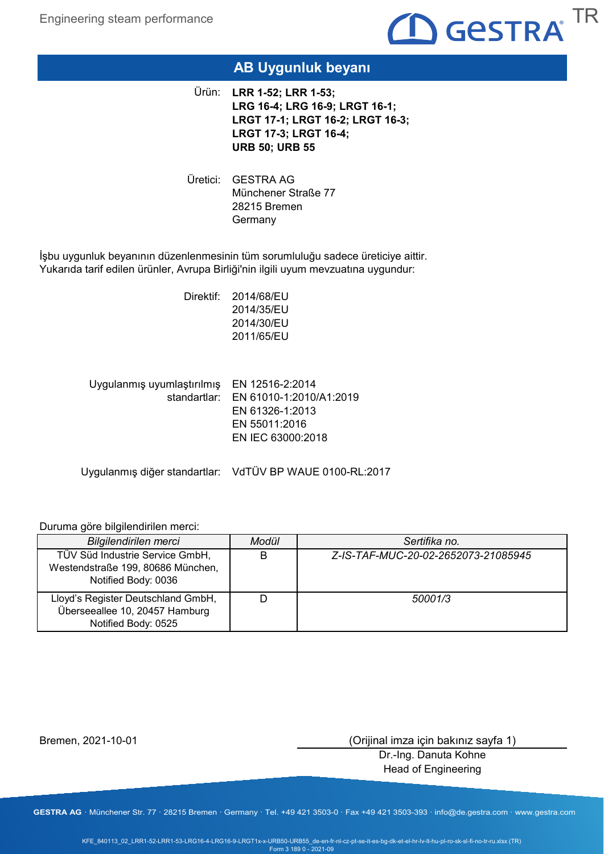

# **AB Uygunluk beyanı**

**LRR 1-52; LRR 1-53;**  Ürün: **LRG 16-4; LRG 16-9; LRGT 16-1; LRGT 17-1; LRGT 16-2; LRGT 16-3; LRGT 17-3; LRGT 16-4; URB 50; URB 55**

Uretici: GESTRA AG Münchener Straße 77 28215 Bremen Germany

İşbu uygunluk beyanının düzenlenmesinin tüm sorumluluğu sadece üreticiye aittir. Yukarıda tarif edilen ürünler, Avrupa Birliği'nin ilgili uyum mevzuatına uygundur:

> Direktif: 2014/68/EU 2014/35/EU 2014/30/EU 2011/65/EU

Uygulanmış uyumlaştırılmış EN 12516-2:2014 standartlar: EN 61010-1:2010/A1:2019 EN 61326-1:2013 EN 55011:2016 EN IEC 63000:2018

Uygulanmış diğer standartlar: VdTÜV BP WAUE 0100-RL:2017

### Duruma göre bilgilendirilen merci:

| Bilgilendirilen merci                                                                       | Modül | Sertifika no.                       |
|---------------------------------------------------------------------------------------------|-------|-------------------------------------|
| TÜV Süd Industrie Service GmbH,<br>Westendstraße 199, 80686 München,<br>Notified Body: 0036 | B     | Z-IS-TAF-MUC-20-02-2652073-21085945 |
| Lloyd's Register Deutschland GmbH,<br>Überseeallee 10, 20457 Hamburg<br>Notified Body: 0525 |       | 50001/3                             |

Bremen, 2021-10-01

(Orijinal imza için bakınız sayfa 1)

Dr.-Ing. Danuta Kohne Head of Engineering

**GESTRA AG** · Münchener Str. 77 · 28215 Bremen · Germany · Tel. +49 421 3503-0 · Fax +49 421 3503-393 · info@de.gestra.com · www.gestra.com

KFE\_840113\_02\_LRR1-52-LRR1-53-LRG16-4-LRG16-9-LRGT1x-x-URB50-URB55\_de-en-fr-nl-cz-pt-se-it-es-bg-dk-et-el-hr-lv-lt-hu-pl-ro-sk-sl-fi-no-tr-ru.xlsx (TR) Form 3 189 0 - 2021-09